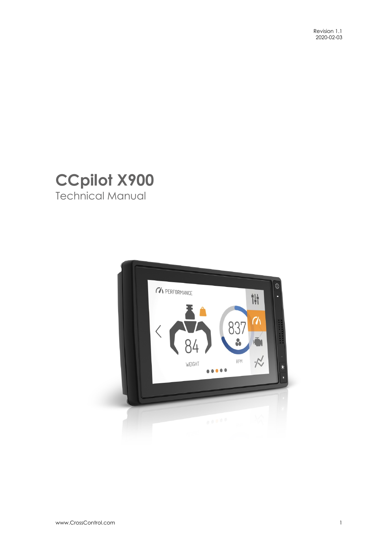

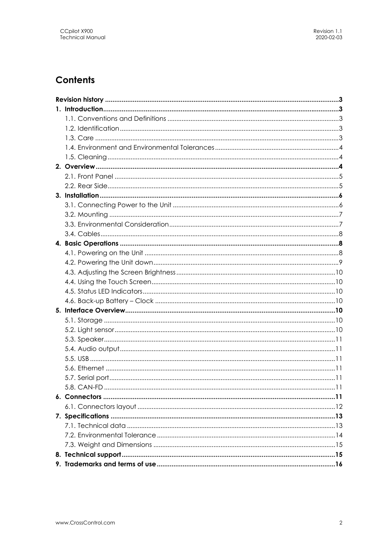# **Contents**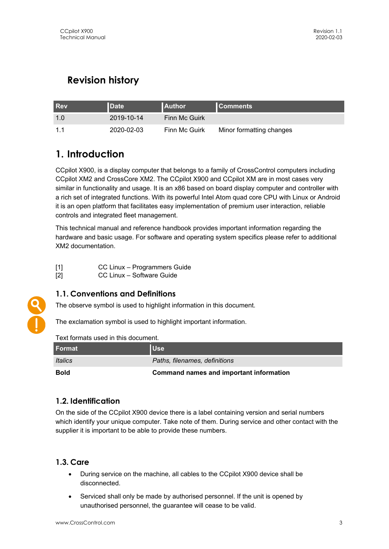# **Revision history**

| <b>Rev</b> | <b>Date</b> | <b>LAuthor</b>       | <b>Comments</b>          |
|------------|-------------|----------------------|--------------------------|
|            | 2019-10-14  | <b>Finn Mc Guirk</b> |                          |
|            | 2020-02-03  | Finn Mc Guirk        | Minor formatting changes |

# **1. Introduction**

CCpilot X900, is a display computer that belongs to a family of CrossControl computers including CCpilot XM2 and CrossCore XM2. The CCpilot X900 and CCpilot XM are in most cases very similar in functionality and usage. It is an x86 based on board display computer and controller with a rich set of integrated functions. With its powerful Intel Atom quad core CPU with Linux or Android it is an open platform that facilitates easy implementation of premium user interaction, reliable controls and integrated fleet management.

This technical manual and reference handbook provides important information regarding the hardware and basic usage. For software and operating system specifics please refer to additional XM2 documentation.

| $[1]$ | CC Linux - Programmers Guide |
|-------|------------------------------|
| $[2]$ | CC Linux - Software Guide    |

## **1.1. Conventions and Definitions**

The observe symbol is used to highlight information in this document.

The exclamation symbol is used to highlight important information.

| TEXTIONINAIS USEU IN INIS UOCUNIENI. |                                         |  |
|--------------------------------------|-----------------------------------------|--|
| l Format i                           | <b>Use</b>                              |  |
| <i><u><b>Italics</b></u></i>         | Paths, filenames, definitions           |  |
| <b>Bold</b>                          | Command names and important information |  |

#### Text formats used in this document.

### **1.2. Identification**

On the side of the CCpilot X900 device there is a label containing version and serial numbers which identify your unique computer. Take note of them. During service and other contact with the supplier it is important to be able to provide these numbers.

### **1.3. Care**

- During service on the machine, all cables to the CCpilot X900 device shall be disconnected.
- Serviced shall only be made by authorised personnel. If the unit is opened by unauthorised personnel, the guarantee will cease to be valid.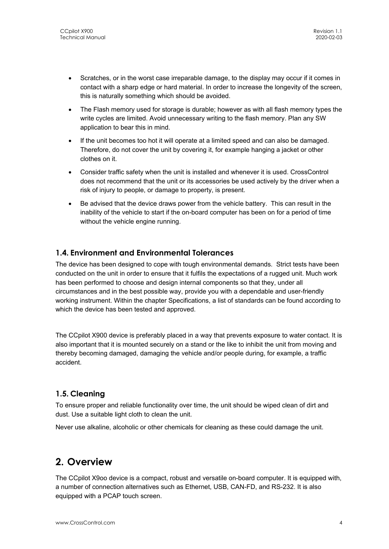- Scratches, or in the worst case irreparable damage, to the display may occur if it comes in contact with a sharp edge or hard material. In order to increase the longevity of the screen, this is naturally something which should be avoided.
- The Flash memory used for storage is durable; however as with all flash memory types the write cycles are limited. Avoid unnecessary writing to the flash memory. Plan any SW application to bear this in mind.
- If the unit becomes too hot it will operate at a limited speed and can also be damaged. Therefore, do not cover the unit by covering it, for example hanging a jacket or other clothes on it.
- Consider traffic safety when the unit is installed and whenever it is used. CrossControl does not recommend that the unit or its accessories be used actively by the driver when a risk of injury to people, or damage to property, is present.
- Be advised that the device draws power from the vehicle battery. This can result in the inability of the vehicle to start if the on-board computer has been on for a period of time without the vehicle engine running.

### **1.4. Environment and Environmental Tolerances**

The device has been designed to cope with tough environmental demands. Strict tests have been conducted on the unit in order to ensure that it fulfils the expectations of a rugged unit. Much work has been performed to choose and design internal components so that they, under all circumstances and in the best possible way, provide you with a dependable and user-friendly working instrument. Within the chapter Specifications, a list of standards can be found according to which the device has been tested and approved.

The CCpilot X900 device is preferably placed in a way that prevents exposure to water contact. It is also important that it is mounted securely on a stand or the like to inhibit the unit from moving and thereby becoming damaged, damaging the vehicle and/or people during, for example, a traffic accident.

### **1.5. Cleaning**

To ensure proper and reliable functionality over time, the unit should be wiped clean of dirt and dust. Use a suitable light cloth to clean the unit.

Never use alkaline, alcoholic or other chemicals for cleaning as these could damage the unit.

# **2. Overview**

The CCpilot X9oo device is a compact, robust and versatile on-board computer. It is equipped with, a number of connection alternatives such as Ethernet, USB, CAN-FD, and RS-232. It is also equipped with a PCAP touch screen.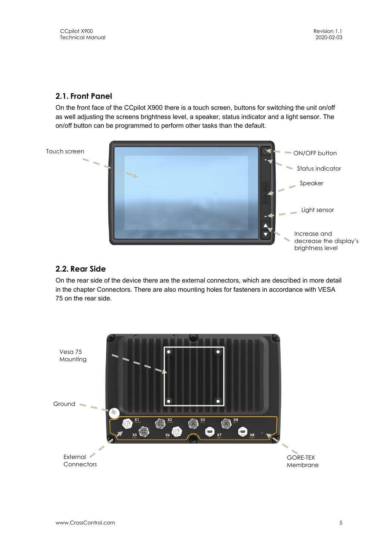## **2.1. Front Panel**

On the front face of the CCpilot X900 there is a touch screen, buttons for switching the unit on/off as well adjusting the screens brightness level, a speaker, status indicator and a light sensor. The on/off button can be programmed to perform other tasks than the default.



### **2.2. Rear Side**

On the rear side of the device there are the external connectors, which are described in more detail in the chapter Connectors. There are also mounting holes for fasteners in accordance with VESA 75 on the rear side.

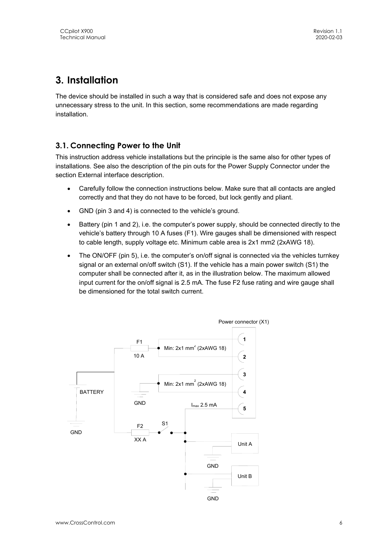# **3. Installation**

The device should be installed in such a way that is considered safe and does not expose any unnecessary stress to the unit. In this section, some recommendations are made regarding installation.

## **3.1. Connecting Power to the Unit**

This instruction address vehicle installations but the principle is the same also for other types of installations. See also the description of the pin outs for the Power Supply Connector under the section External interface description.

- Carefully follow the connection instructions below. Make sure that all contacts are angled correctly and that they do not have to be forced, but lock gently and pliant.
- GND (pin 3 and 4) is connected to the vehicle's ground.
- Battery (pin 1 and 2), i.e. the computer's power supply, should be connected directly to the vehicle's battery through 10 A fuses (F1). Wire gauges shall be dimensioned with respect to cable length, supply voltage etc. Minimum cable area is 2x1 mm2 (2xAWG 18).
- The ON/OFF (pin 5), i.e. the computer's on/off signal is connected via the vehicles turnkey signal or an external on/off switch (S1). If the vehicle has a main power switch (S1) the computer shall be connected after it, as in the illustration below. The maximum allowed input current for the on/off signal is 2.5 mA. The fuse F2 fuse rating and wire gauge shall be dimensioned for the total switch current.

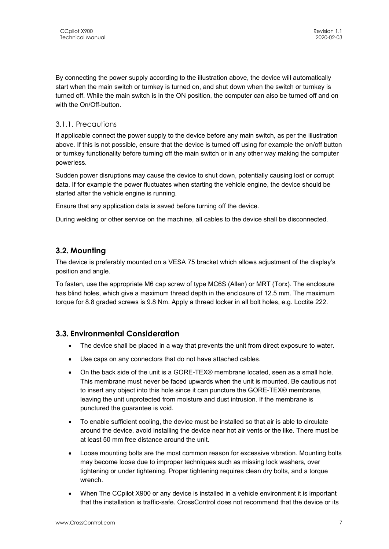By connecting the power supply according to the illustration above, the device will automatically start when the main switch or turnkey is turned on, and shut down when the switch or turnkey is turned off. While the main switch is in the ON position, the computer can also be turned off and on with the On/Off-button.

#### 3.1.1. Precautions

If applicable connect the power supply to the device before any main switch, as per the illustration above. If this is not possible, ensure that the device is turned off using for example the on/off button or turnkey functionality before turning off the main switch or in any other way making the computer powerless.

Sudden power disruptions may cause the device to shut down, potentially causing lost or corrupt data. If for example the power fluctuates when starting the vehicle engine, the device should be started after the vehicle engine is running.

Ensure that any application data is saved before turning off the device.

During welding or other service on the machine, all cables to the device shall be disconnected.

#### **3.2. Mounting**

The device is preferably mounted on a VESA 75 bracket which allows adjustment of the display's position and angle.

To fasten, use the appropriate M6 cap screw of type MC6S (Allen) or MRT (Torx). The enclosure has blind holes, which give a maximum thread depth in the enclosure of 12.5 mm. The maximum torque for 8.8 graded screws is 9.8 Nm. Apply a thread locker in all bolt holes, e.g. Loctite 222.

#### **3.3. Environmental Consideration**

- The device shall be placed in a way that prevents the unit from direct exposure to water.
- Use caps on any connectors that do not have attached cables.
- On the back side of the unit is a GORE-TEX® membrane located, seen as a small hole. This membrane must never be faced upwards when the unit is mounted. Be cautious not to insert any object into this hole since it can puncture the GORE-TEX® membrane, leaving the unit unprotected from moisture and dust intrusion. If the membrane is punctured the guarantee is void.
- To enable sufficient cooling, the device must be installed so that air is able to circulate around the device, avoid installing the device near hot air vents or the like. There must be at least 50 mm free distance around the unit.
- Loose mounting bolts are the most common reason for excessive vibration. Mounting bolts may become loose due to improper techniques such as missing lock washers, over tightening or under tightening. Proper tightening requires clean dry bolts, and a torque wrench.
- When The CCpilot X900 or any device is installed in a vehicle environment it is important that the installation is traffic-safe. CrossControl does not recommend that the device or its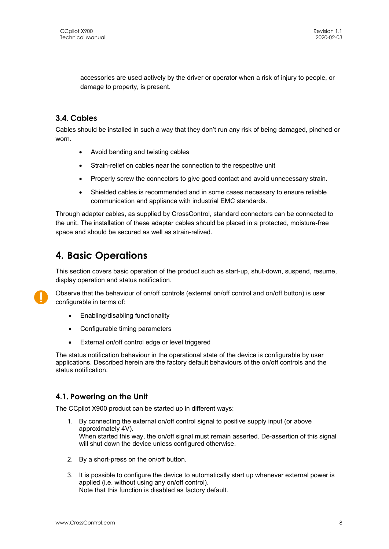accessories are used actively by the driver or operator when a risk of injury to people, or damage to property, is present.

## **3.4. Cables**

Cables should be installed in such a way that they don't run any risk of being damaged, pinched or worn.

- Avoid bending and twisting cables
- Strain-relief on cables near the connection to the respective unit
- Properly screw the connectors to give good contact and avoid unnecessary strain.
- Shielded cables is recommended and in some cases necessary to ensure reliable communication and appliance with industrial EMC standards.

Through adapter cables, as supplied by CrossControl, standard connectors can be connected to the unit. The installation of these adapter cables should be placed in a protected, moisture-free space and should be secured as well as strain-relived.

# **4. Basic Operations**

This section covers basic operation of the product such as start-up, shut-down, suspend, resume, display operation and status notification.



Observe that the behaviour of on/off controls (external on/off control and on/off button) is user configurable in terms of:

- Enabling/disabling functionality
- Configurable timing parameters
- External on/off control edge or level triggered

The status notification behaviour in the operational state of the device is configurable by user applications. Described herein are the factory default behaviours of the on/off controls and the status notification.

#### **4.1. Powering on the Unit**

The CCpilot X900 product can be started up in different ways:

- 1. By connecting the external on/off control signal to positive supply input (or above approximately 4V). When started this way, the on/off signal must remain asserted. De-assertion of this signal will shut down the device unless configured otherwise.
- 2. By a short-press on the on/off button.
- 3. It is possible to configure the device to automatically start up whenever external power is applied (i.e. without using any on/off control). Note that this function is disabled as factory default.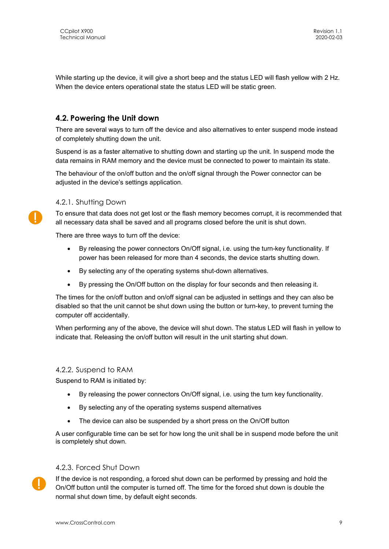While starting up the device, it will give a short beep and the status LED will flash yellow with 2 Hz. When the device enters operational state the status LED will be static green.

#### **4.2. Powering the Unit down**

There are several ways to turn off the device and also alternatives to enter suspend mode instead of completely shutting down the unit.

Suspend is as a faster alternative to shutting down and starting up the unit. In suspend mode the data remains in RAM memory and the device must be connected to power to maintain its state.

The behaviour of the on/off button and the on/off signal through the Power connector can be adjusted in the device's settings application.

#### 4.2.1. Shutting Down

To ensure that data does not get lost or the flash memory becomes corrupt, it is recommended that all necessary data shall be saved and all programs closed before the unit is shut down.

There are three ways to turn off the device:

- By releasing the power connectors On/Off signal, i.e. using the turn-key functionality. If power has been released for more than 4 seconds, the device starts shutting down.
- By selecting any of the operating systems shut-down alternatives.
- By pressing the On/Off button on the display for four seconds and then releasing it.

The times for the on/off button and on/off signal can be adjusted in settings and they can also be disabled so that the unit cannot be shut down using the button or turn-key, to prevent turning the computer off accidentally.

When performing any of the above, the device will shut down. The status LED will flash in yellow to indicate that. Releasing the on/off button will result in the unit starting shut down.

#### 4.2.2. Suspend to RAM

Suspend to RAM is initiated by:

- By releasing the power connectors On/Off signal, i.e. using the turn key functionality.
- By selecting any of the operating systems suspend alternatives
- The device can also be suspended by a short press on the On/Off button

A user configurable time can be set for how long the unit shall be in suspend mode before the unit is completely shut down.

#### 4.2.3. Forced Shut Down



If the device is not responding, a forced shut down can be performed by pressing and hold the On/Off button until the computer is turned off. The time for the forced shut down is double the normal shut down time, by default eight seconds.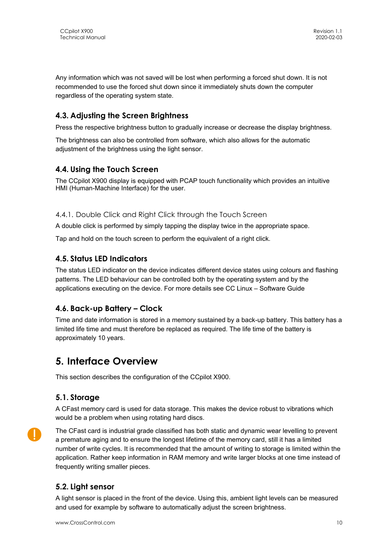Any information which was not saved will be lost when performing a forced shut down. It is not recommended to use the forced shut down since it immediately shuts down the computer regardless of the operating system state.

### **4.3. Adjusting the Screen Brightness**

Press the respective brightness button to gradually increase or decrease the display brightness.

The brightness can also be controlled from software, which also allows for the automatic adjustment of the brightness using the light sensor.

#### **4.4. Using the Touch Screen**

The CCpilot X900 display is equipped with PCAP touch functionality which provides an intuitive HMI (Human-Machine Interface) for the user.

#### 4.4.1. Double Click and Right Click through the Touch Screen

A double click is performed by simply tapping the display twice in the appropriate space.

Tap and hold on the touch screen to perform the equivalent of a right click.

#### **4.5. Status LED Indicators**

The status LED indicator on the device indicates different device states using colours and flashing patterns. The LED behaviour can be controlled both by the operating system and by the applications executing on the device. For more details see CC Linux – Software Guide

#### **4.6. Back-up Battery – Clock**

Time and date information is stored in a memory sustained by a back-up battery. This battery has a limited life time and must therefore be replaced as required. The life time of the battery is approximately 10 years.

# **5. Interface Overview**

This section describes the configuration of the CCpilot X900.

#### **5.1. Storage**

A CFast memory card is used for data storage. This makes the device robust to vibrations which would be a problem when using rotating hard discs.



The CFast card is industrial grade classified has both static and dynamic wear levelling to prevent a premature aging and to ensure the longest lifetime of the memory card, still it has a limited number of write cycles. It is recommended that the amount of writing to storage is limited within the application. Rather keep information in RAM memory and write larger blocks at one time instead of frequently writing smaller pieces.

#### **5.2. Light sensor**

A light sensor is placed in the front of the device. Using this, ambient light levels can be measured and used for example by software to automatically adjust the screen brightness.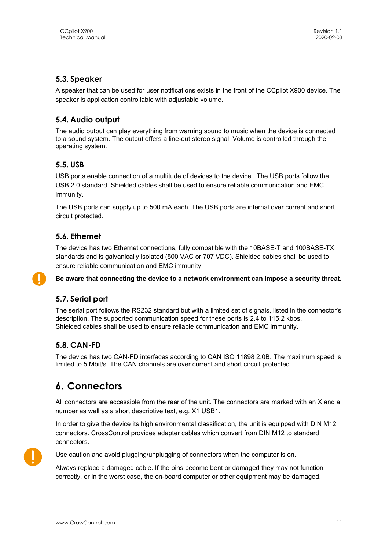#### **5.3. Speaker**

A speaker that can be used for user notifications exists in the front of the CCpilot X900 device. The speaker is application controllable with adjustable volume.

#### **5.4. Audio output**

The audio output can play everything from warning sound to music when the device is connected to a sound system. The output offers a line-out stereo signal. Volume is controlled through the operating system.

#### **5.5. USB**

USB ports enable connection of a multitude of devices to the device. The USB ports follow the USB 2.0 standard. Shielded cables shall be used to ensure reliable communication and EMC immunity.

The USB ports can supply up to 500 mA each. The USB ports are internal over current and short circuit protected.

#### **5.6. Ethernet**

The device has two Ethernet connections, fully compatible with the 10BASE-T and 100BASE-TX standards and is galvanically isolated (500 VAC or 707 VDC). Shielded cables shall be used to ensure reliable communication and EMC immunity.

**Be aware that connecting the device to a network environment can impose a security threat.** 

### **5.7. Serial port**

The serial port follows the RS232 standard but with a limited set of signals, listed in the connector's description. The supported communication speed for these ports is 2.4 to 115.2 kbps. Shielded cables shall be used to ensure reliable communication and EMC immunity.

### **5.8. CAN-FD**

The device has two CAN-FD interfaces according to CAN ISO 11898 2.0B. The maximum speed is limited to 5 Mbit/s. The CAN channels are over current and short circuit protected..

# **6. Connectors**

All connectors are accessible from the rear of the unit. The connectors are marked with an X and a number as well as a short descriptive text, e.g. X1 USB1.

In order to give the device its high environmental classification, the unit is equipped with DIN M12 connectors. CrossControl provides adapter cables which convert from DIN M12 to standard connectors.



Use caution and avoid plugging/unplugging of connectors when the computer is on.

Always replace a damaged cable. If the pins become bent or damaged they may not function correctly, or in the worst case, the on-board computer or other equipment may be damaged.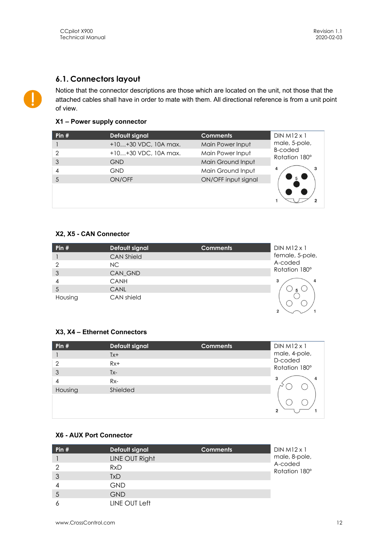### **6.1. Connectors layout**

Notice that the connector descriptions are those which are located on the unit, not those that the attached cables shall have in order to mate with them. All directional reference is from a unit point of view.

#### **X1 – Power supply connector**

| Pin $#$        | Default signal       | <b>Comments</b>     | $DIN M12 \times 1$              |
|----------------|----------------------|---------------------|---------------------------------|
|                | +10+30 VDC, 10A max. | Main Power Input    | male, 5-pole,                   |
| $\overline{2}$ | +10+30 VDC, 10A max. | Main Power Input    | <b>B-coded</b><br>Rotation 180° |
| 3              | <b>GND</b>           | Main Ground Input   |                                 |
| $\overline{4}$ | <b>GND</b>           | Main Ground Input   | 3                               |
|                | ON/OFF               | ON/OFF input signal |                                 |
|                |                      |                     |                                 |

#### **X2, X5 - CAN Connector**

| Pin $#$ | Default signal    | <b>Comments</b> | $DIN M12 \times 1$ |
|---------|-------------------|-----------------|--------------------|
|         | <b>CAN Shield</b> |                 | female, 5-pole,    |
| ာ       | NC.               |                 | A-coded            |
| 3       | CAN_GND           |                 | Rotation 180°      |
|         | CANH              |                 | 3<br>4             |
| 5       | CANL              |                 |                    |
| Housing | CAN shield        |                 |                    |
|         |                   |                 | $\mathfrak{p}$     |

#### **X3, X4 – Ethernet Connectors**

| Pin $#$       | <b>Default signal</b> | <b>Comments</b> | $DIN M12 \times 1$       |
|---------------|-----------------------|-----------------|--------------------------|
|               | $Tx+$                 |                 | male, 4-pole,<br>D-coded |
| $\mathcal{P}$ | $Rx+$                 |                 | Rotation 180°            |
| 3             | $Tx-$                 |                 |                          |
| 4             | $Rx-$                 |                 | 3<br>4                   |
| Housing       | Shielded              |                 |                          |
|               |                       |                 | $\mathbf{c}$             |

#### **X6 - AUX Port Connector**

| Pin $#$ | Default signal | <b>Comments</b> | $DIN M12 \times 1$       |
|---------|----------------|-----------------|--------------------------|
|         | LINE OUT Right |                 | male, 8-pole,            |
|         | <b>RxD</b>     |                 | A-coded<br>Rotation 180° |
|         | TxD            |                 |                          |
|         | <b>GND</b>     |                 |                          |
| 5       | <b>GND</b>     |                 |                          |
|         | LINE OUT Left  |                 |                          |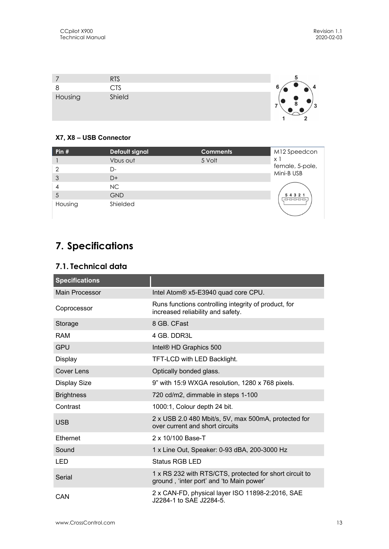|         | <b>RTS</b><br>CTS |                 |
|---------|-------------------|-----------------|
| Housing | Shield            | $\sqrt{2}$<br>ູ |

#### **X7, X8 – USB Connector**

| Pin $#$ | Default signal | <b>Comments</b> | M12 Speedcon                        |
|---------|----------------|-----------------|-------------------------------------|
|         | Vbus out       | 5 Volt          | χĪ<br>female, 5-pole,<br>Mini-B USB |
| 2       | D-             |                 |                                     |
| 3       | $D+$           |                 |                                     |
| 4       | NC.            |                 |                                     |
| 5       | <b>GND</b>     |                 | 5 4 3 2 1<br>poooo                  |
| Housing | Shielded       |                 |                                     |

# **7. Specifications**

## **7.1. Technical data**

| <b>Specifications</b> |                                                                                                     |
|-----------------------|-----------------------------------------------------------------------------------------------------|
| <b>Main Processor</b> | Intel Atom® x5-E3940 quad core CPU.                                                                 |
| Coprocessor           | Runs functions controlling integrity of product, for<br>increased reliability and safety.           |
| Storage               | 8 GB, CFast                                                                                         |
| <b>RAM</b>            | 4 GB. DDR3L                                                                                         |
| <b>GPU</b>            | Intel® HD Graphics 500                                                                              |
| <b>Display</b>        | TFT-LCD with LED Backlight.                                                                         |
| <b>Cover Lens</b>     | Optically bonded glass.                                                                             |
| <b>Display Size</b>   | 9" with 15:9 WXGA resolution, 1280 x 768 pixels.                                                    |
| <b>Brightness</b>     | 720 cd/m2, dimmable in steps 1-100                                                                  |
| Contrast              | 1000:1, Colour depth 24 bit.                                                                        |
| <b>USB</b>            | 2 x USB 2.0 480 Mbit/s, 5V, max 500mA, protected for<br>over current and short circuits             |
| Ethernet              | 2 x 10/100 Base-T                                                                                   |
| Sound                 | 1 x Line Out, Speaker: 0-93 dBA, 200-3000 Hz                                                        |
| <b>LED</b>            | <b>Status RGB LED</b>                                                                               |
| Serial                | 1 x RS 232 with RTS/CTS, protected for short circuit to<br>ground, 'inter port' and 'to Main power' |
| CAN                   | 2 x CAN-FD, physical layer ISO 11898-2:2016, SAE<br>J2284-1 to SAE J2284-5.                         |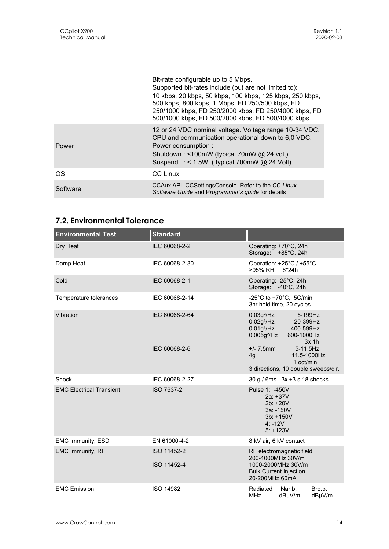|          | Bit-rate configurable up to 5 Mbps.<br>Supported bit-rates include (but are not limited to):<br>10 kbps, 20 kbps, 50 kbps, 100 kbps, 125 kbps, 250 kbps,<br>500 kbps, 800 kbps, 1 Mbps, FD 250/500 kbps, FD<br>250/1000 kbps, FD 250/2000 kbps, FD 250/4000 kbps, FD<br>500/1000 kbps, FD 500/2000 kbps, FD 500/4000 kbps |
|----------|---------------------------------------------------------------------------------------------------------------------------------------------------------------------------------------------------------------------------------------------------------------------------------------------------------------------------|
| Power    | 12 or 24 VDC nominal voltage. Voltage range 10-34 VDC.<br>CPU and communication operational down to 6,0 VDC.<br>Power consumption:<br>Shutdown: <100mW (typical 70mW @ 24 volt)<br>Suspend : < $1.5W$ (typical 700mW @ 24 Volt)                                                                                           |
| OS.      | <b>CC Linux</b>                                                                                                                                                                                                                                                                                                           |
| Software | CCAux API, CCSettingsConsole. Refer to the CC Linux -<br>Software Guide and Programmer's guide for details                                                                                                                                                                                                                |

# **7.2. Environmental Tolerance**

| <b>Environmental Test</b>       | <b>Standard</b>            |                                                                                                                                |  |  |
|---------------------------------|----------------------------|--------------------------------------------------------------------------------------------------------------------------------|--|--|
| Dry Heat                        | IEC 60068-2-2              | Operating: +70°C, 24h<br>Storage: +85°C, 24h                                                                                   |  |  |
| Damp Heat                       | IEC 60068-2-30             | Operation: +25°C / +55°C<br>>95% RH<br>6*24h                                                                                   |  |  |
| Cold                            | IEC 60068-2-1              | Operating: -25°C, 24h<br>Storage: -40°C, 24h                                                                                   |  |  |
| Temperature tolerances          | IEC 60068-2-14             | -25°C to +70°C, 5C/min<br>3hr hold time, 20 cycles                                                                             |  |  |
| Vibration                       | IEC 60068-2-64             | $0.03g^2$ /Hz<br>5-199Hz<br>$0.02g^2$ /Hz<br>20-399Hz<br>$0.01g^2$ /Hz<br>400-599Hz<br>$0.005g^2$ /Hz<br>600-1000Hz<br>$3x$ 1h |  |  |
|                                 | IEC 60068-2-6              | $+/- 7.5$ mm<br>5-11.5Hz<br>11.5-1000Hz<br>4g<br>1 oct/min<br>3 directions, 10 double sweeps/dir.                              |  |  |
| Shock                           | IEC 60068-2-27             | $30 g / 6ms$ $3x \pm 3 s 18$ shocks                                                                                            |  |  |
| <b>EMC Electrical Transient</b> | ISO 7637-2                 | Pulse 1: -450V<br>$2a: +37V$<br>2b: +20V<br>3a: -150V<br>3b: +150V<br>$4: -12V$<br>$5: +123V$                                  |  |  |
| EMC Immunity, ESD               | EN 61000-4-2               | 8 kV air, 6 kV contact                                                                                                         |  |  |
| EMC Immunity, RF                | ISO 11452-2<br>ISO 11452-4 | RF electromagnetic field<br>200-1000MHz 30V/m<br>1000-2000MHz 30V/m<br><b>Bulk Current Injection</b><br>20-200MHz 60mA         |  |  |
| <b>EMC Emission</b>             | <b>ISO 14982</b>           | Radiated<br>Bro.b.<br>Nar.b.<br><b>MHz</b><br>dBµV/m<br>dBµV/m                                                                 |  |  |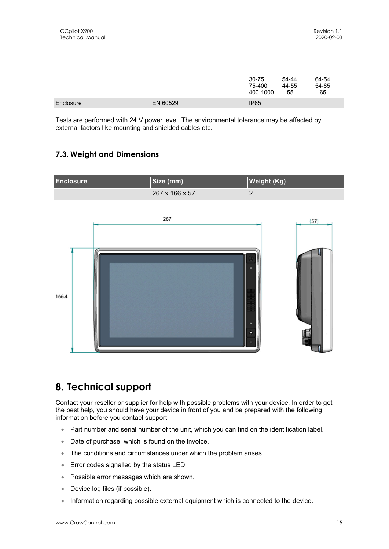|           |          | 30-75<br>75-400<br>400-1000 | 54-44<br>44-55<br>55 | 64-54<br>54-65<br>65 |
|-----------|----------|-----------------------------|----------------------|----------------------|
| Enclosure | EN 60529 | IP <sub>65</sub>            |                      |                      |

Tests are performed with 24 V power level. The environmental tolerance may be affected by external factors like mounting and shielded cables etc.

## **7.3. Weight and Dimensions**



# **8. Technical support**

Contact your reseller or supplier for help with possible problems with your device. In order to get the best help, you should have your device in front of you and be prepared with the following information before you contact support.

- Part number and serial number of the unit, which you can find on the identification label.
- Date of purchase, which is found on the invoice.
- The conditions and circumstances under which the problem arises.
- Error codes signalled by the status LED
- Possible error messages which are shown.
- Device log files (if possible).
- Information regarding possible external equipment which is connected to the device.